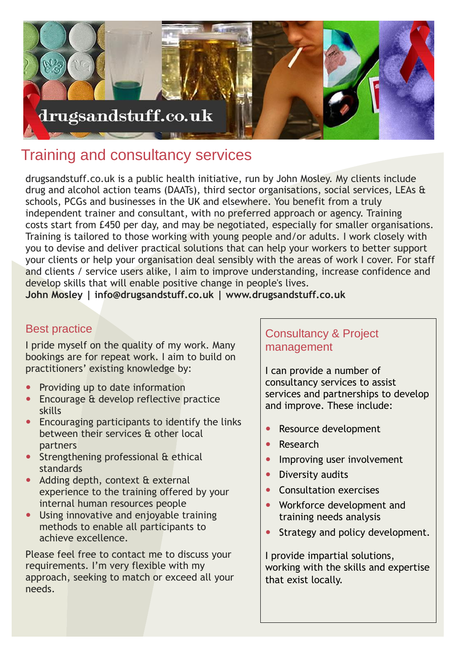

# Training and consultancy services

drugsandstuff.co.uk is a public health initiative, run by John Mosley. My clients include drug and alcohol action teams (DAATs), third sector organisations, social services, LEAs & schools, PCGs and businesses in the UK and elsewhere. You benefit from a truly independent trainer and consultant, with no preferred approach or agency. Training costs start from £450 per day, and may be negotiated, especially for smaller organisations. Training is tailored to those working with young people and/or adults. I work closely with you to devise and deliver practical solutions that can help your workers to better support your clients or help your organisation deal sensibly with the areas of work I cover. For staff and clients / service users alike, I aim to improve understanding, increase confidence and develop skills that will enable positive change in people's lives.

**John Mosley | info@drugsandstuff.co.uk | www.drugsandstuff.co.uk**

#### Best practice

I pride myself on the quality of my work. Many bookings are for repeat work. I aim to build on practitioners' existing knowledge by:

- Providing up to date information
- Encourage & develop reflective practice skills
- Encouraging participants to identify the links between their services & other local partners
- Strengthening professional & ethical standards
- Adding depth, context & external experience to the training offered by your internal human resources people
- Using innovative and enjoyable training methods to enable all participants to achieve excellence.

Please feel free to contact me to discuss your requirements. I'm very flexible with my approach, seeking to match or exceed all your needs.

### Consultancy & Project management

I can provide a number of consultancy services to assist services and partnerships to develop and improve. These include:

- Resource development
- Research
- Improving user involvement
- Diversity audits
- Consultation exercises
- Workforce development and training needs analysis
- Strategy and policy development.

I provide impartial solutions, working with the skills and expertise that exist locally.